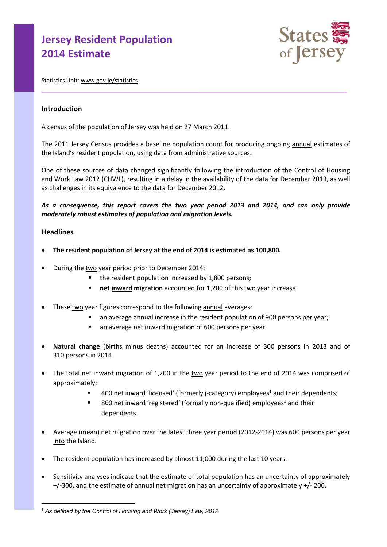# **Jersey Resident Population 2014 Estimate**



Statistics Unit[: www.gov.je/statistics](http://www.gov.je/statistics)

## **Introduction**

A census of the population of Jersey was held on 27 March 2011.

The 2011 Jersey Census provides a baseline population count for producing ongoing annual estimates of the Island's resident population, using data from administrative sources.

One of these sources of data changed significantly following the introduction of the Control of Housing and Work Law 2012 (CHWL), resulting in a delay in the availability of the data for December 2013, as well as challenges in its equivalence to the data for December 2012.

*As a consequence, this report covers the two year period 2013 and 2014, and can only provide moderately robust estimates of population and migration levels.* 

## **Headlines**

 $\overline{a}$ 

- **The resident population of Jersey at the end of 2014 is estimated as 100,800.**
- During the two year period prior to December 2014:
	- the resident population increased by 1,800 persons;
	- **net inward migration** accounted for 1,200 of this two year increase.
- These two year figures correspond to the following annual averages:
	- an average annual increase in the resident population of 900 persons per year;
	- an average net inward migration of 600 persons per year.
- **Natural change** (births minus deaths) accounted for an increase of 300 persons in 2013 and of 310 persons in 2014.
- The total net inward migration of 1,200 in the two year period to the end of 2014 was comprised of approximately:
	- 400 net inward 'licensed' (formerly j-category) employees<sup>1</sup> and their dependents;
	- 800 net inward 'registered' (formally non-qualified) employees<sup>1</sup> and their dependents.
- Average (mean) net migration over the latest three year period (2012-2014) was 600 persons per year into the Island.
- The resident population has increased by almost 11,000 during the last 10 years.
- Sensitivity analyses indicate that the estimate of total population has an uncertainty of approximately +/-300, and the estimate of annual net migration has an uncertainty of approximately +/- 200.

<sup>&</sup>lt;sup>1</sup> As defined by the Control of Housing and Work (Jersey) Law, 2012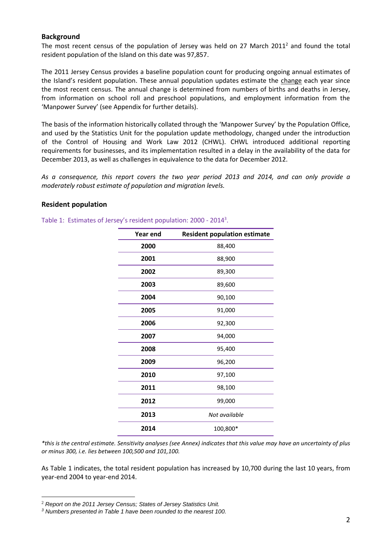## **Background**

The most recent census of the population of Jersey was held on 27 March 2011<sup>2</sup> and found the total resident population of the Island on this date was 97,857.

The 2011 Jersey Census provides a baseline population count for producing ongoing annual estimates of the Island's resident population. These annual population updates estimate the change each year since the most recent census. The annual change is determined from numbers of births and deaths in Jersey, from information on school roll and preschool populations, and employment information from the 'Manpower Survey' (see Appendix for further details).

The basis of the information historically collated through the 'Manpower Survey' by the Population Office, and used by the Statistics Unit for the population update methodology, changed under the introduction of the Control of Housing and Work Law 2012 (CHWL). CHWL introduced additional reporting requirements for businesses, and its implementation resulted in a delay in the availability of the data for December 2013, as well as challenges in equivalence to the data for December 2012.

*As a consequence, this report covers the two year period 2013 and 2014, and can only provide a moderately robust estimate of population and migration levels.*

## **Resident population**

| Year end | <b>Resident population estimate</b> |  |
|----------|-------------------------------------|--|
| 2000     | 88,400                              |  |
| 2001     | 88,900                              |  |
| 2002     | 89,300                              |  |
| 2003     | 89,600                              |  |
| 2004     | 90,100                              |  |
| 2005     | 91,000                              |  |
| 2006     | 92,300                              |  |
| 2007     | 94,000                              |  |
| 2008     | 95,400                              |  |
| 2009     | 96,200                              |  |
| 2010     | 97,100                              |  |
| 2011     | 98,100                              |  |
| 2012     | 99,000                              |  |
| 2013     | Not available                       |  |
| 2014     | 100,800*                            |  |

Table 1: Estimates of Jersey's resident population: 2000 - 2014<sup>3</sup>.

*\*this is the central estimate. Sensitivity analyses (see Annex) indicates that this value may have an uncertainty of plus or minus 300, i.e. lies between 100,500 and 101,100.*

As Table 1 indicates, the total resident population has increased by 10,700 during the last 10 years, from year-end 2004 to year-end 2014.

 $\overline{a}$ 

<sup>2</sup> *Report on the 2011 Jersey Census; States of Jersey Statistics Unit.* 

*<sup>3</sup> Numbers presented in Table 1 have been rounded to the nearest 100.*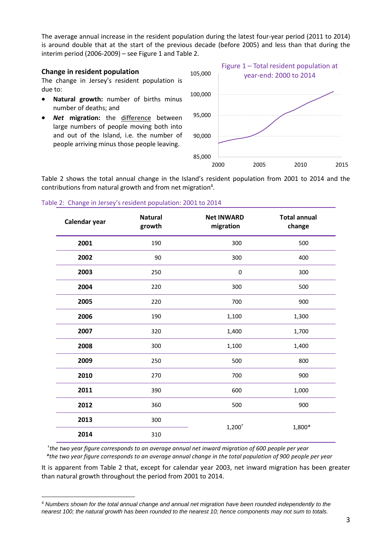The average annual increase in the resident population during the latest four-year period (2011 to 2014) is around double that at the start of the previous decade (before 2005) and less than that during the interim period (2006-2009) – see Figure 1 and Table 2.

## **Change in resident population**

 $\overline{a}$ 

The change in Jersey's resident population is due to:

- **Natural growth:** number of births minus number of deaths; and
- *Net* **migration:** the difference between large numbers of people moving both into and out of the Island, i.e. the number of people arriving minus those people leaving.



Table 2 shows the total annual change in the Island's resident population from 2001 to 2014 and the contributions from natural growth and from net migration<sup>4</sup>.

| Calendar year | <b>Natural</b><br>growth | <b>Net INWARD</b><br>migration | <b>Total annual</b><br>change |
|---------------|--------------------------|--------------------------------|-------------------------------|
| 2001          | 190                      | 300                            | 500                           |
| 2002          | 90                       | 300                            | 400                           |
| 2003          | 250                      | $\pmb{0}$                      | 300                           |
| 2004          | 220                      | 300                            | 500                           |
| 2005          | 220                      | 700                            | 900                           |
| 2006          | 190                      | 1,100                          | 1,300                         |
| 2007          | 320                      | 1,400                          | 1,700                         |
| 2008          | 300                      | 1,100                          | 1,400                         |
| 2009          | 250                      | 500                            | 800                           |
| 2010          | 270                      | 700                            | 900                           |
| 2011          | 390                      | 600                            | 1,000                         |
| 2012          | 360                      | 500                            | 900                           |
| 2013          | 300                      | $1,200^+$<br>1,800*            |                               |
| 2014          | 310                      |                                |                               |

#### Table 2: Change in Jersey's resident population: 2001 to 2014

† *the two year figure corresponds to an average annual net inward migration of 600 people per year \*the two year figure corresponds to an average annual change in the total population of 900 people per year*

It is apparent from Table 2 that, except for calendar year 2003, net inward migration has been greater than natural growth throughout the period from 2001 to 2014.

<sup>4</sup> *Numbers shown for the total annual change and annual net migration have been rounded independently to the nearest 100; the natural growth has been rounded to the nearest 10; hence components may not sum to totals.*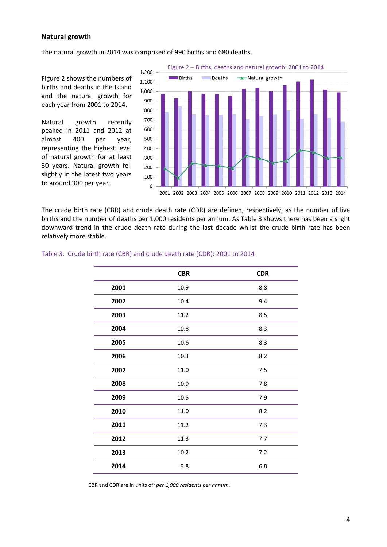## **Natural growth**

The natural growth in 2014 was comprised of 990 births and 680 deaths.

Figure 2 shows the numbers of births and deaths in the Island and the natural growth for each year from 2001 to 2014.

Natural growth recently peaked in 2011 and 2012 at almost 400 per year, representing the highest level of natural growth for at least 30 years. Natural growth fell slightly in the latest two years to around 300 per year.



The crude birth rate (CBR) and crude death rate (CDR) are defined, respectively, as the number of live births and the number of deaths per 1,000 residents per annum. As Table 3 shows there has been a slight downward trend in the crude death rate during the last decade whilst the crude birth rate has been relatively more stable.

|      | <b>CBR</b> | <b>CDR</b> |
|------|------------|------------|
| 2001 | 10.9       | 8.8        |
| 2002 | 10.4       | 9.4        |
| 2003 | 11.2       | 8.5        |
| 2004 | 10.8       | 8.3        |
| 2005 | 10.6       | 8.3        |
| 2006 | 10.3       | 8.2        |
| 2007 | 11.0       | 7.5        |
| 2008 | 10.9       | 7.8        |
| 2009 | 10.5       | 7.9        |
| 2010 | 11.0       | 8.2        |
| 2011 | 11.2       | 7.3        |
| 2012 | 11.3       | 7.7        |
| 2013 | 10.2       | 7.2        |
| 2014 | 9.8        | 6.8        |

#### Table 3: Crude birth rate (CBR) and crude death rate (CDR): 2001 to 2014

CBR and CDR are in units of*: per 1,000 residents per annum.*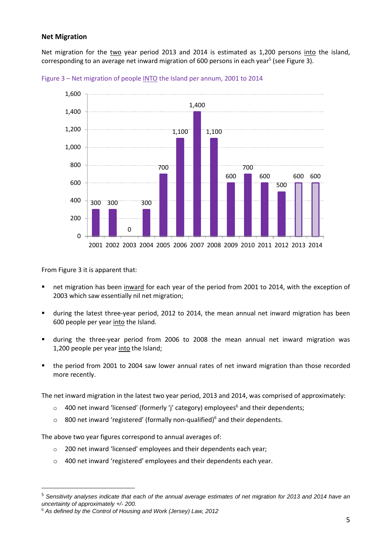## **Net Migration**

Net migration for the two year period 2013 and 2014 is estimated as 1,200 persons into the island, corresponding to an average net inward migration of 600 persons in each year<sup>5</sup> (see Figure 3).



Figure 3 – Net migration of people INTO the Island per annum, 2001 to 2014

From Figure 3 it is apparent that:

 $\overline{a}$ 

- net migration has been inward for each year of the period from 2001 to 2014, with the exception of 2003 which saw essentially nil net migration;
- during the latest three-year period, 2012 to 2014, the mean annual net inward migration has been 600 people per year into the Island.
- during the three-year period from 2006 to 2008 the mean annual net inward migration was 1,200 people per year into the Island;
- the period from 2001 to 2004 saw lower annual rates of net inward migration than those recorded more recently.

The net inward migration in the latest two year period, 2013 and 2014, was comprised of approximately:

- $\circ$  400 net inward 'licensed' (formerly 'j' category) employees<sup>6</sup> and their dependents;
- $\circ$  800 net inward 'registered' (formally non-qualified)<sup>6</sup> and their dependents.

The above two year figures correspond to annual averages of:

- o 200 net inward 'licensed' employees and their dependents each year;
- o 400 net inward 'registered' employees and their dependents each year.

<sup>5</sup> *Sensitivity analyses indicate that each of the annual average estimates of net migration for 2013 and 2014 have an uncertainty of approximately +/- 200.*

<sup>6</sup> *As defined by the Control of Housing and Work (Jersey) Law, 2012*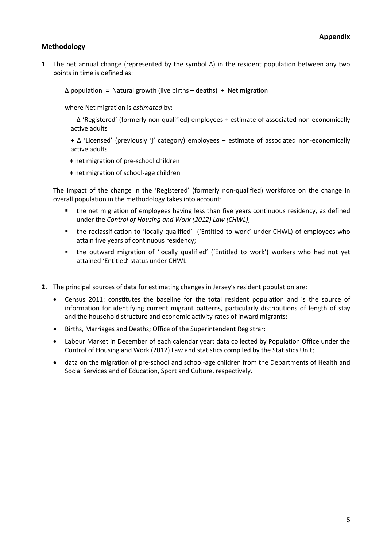# **Methodology**

**1**. The net annual change (represented by the symbol Δ) in the resident population between any two points in time is defined as:

 $\triangle$  population = Natural growth (live births – deaths) + Net migration

where Net migration is *estimated* by:

Δ 'Registered' (formerly non-qualified) employees + estimate of associated non-economically active adults

**+** Δ 'Licensed' (previously 'j' category) employees + estimate of associated non-economically active adults

**+** net migration of pre-school children

**+** net migration of school-age children

The impact of the change in the 'Registered' (formerly non-qualified) workforce on the change in overall population in the methodology takes into account:

- the net migration of employees having less than five years continuous residency, as defined under the *Control of Housing and Work (2012) Law (CHWL)*;
- the reclassification to 'locally qualified' ('Entitled to work' under CHWL) of employees who attain five years of continuous residency;
- the outward migration of 'locally qualified' ('Entitled to work') workers who had not yet attained 'Entitled' status under CHWL.
- **2.** The principal sources of data for estimating changes in Jersey's resident population are:
	- Census 2011: constitutes the baseline for the total resident population and is the source of information for identifying current migrant patterns, particularly distributions of length of stay and the household structure and economic activity rates of inward migrants;
	- Births, Marriages and Deaths; Office of the Superintendent Registrar;
	- Labour Market in December of each calendar year: data collected by Population Office under the Control of Housing and Work (2012) Law and statistics compiled by the Statistics Unit;
	- data on the migration of pre-school and school-age children from the Departments of Health and Social Services and of Education, Sport and Culture, respectively.